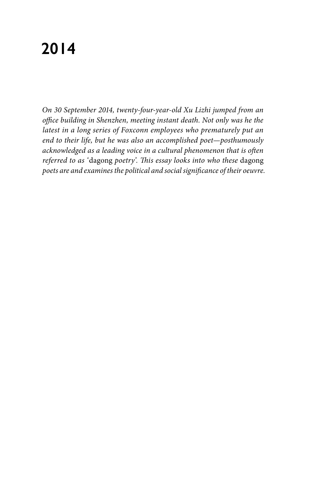# **2014**

*On 30 September 2014, twenty-four-year-old Xu Lizhi jumped from an office building in Shenzhen, meeting instant death. Not only was he the latest in a long series of Foxconn employees who prematurely put an end to their life, but he was also an accomplished poet—posthumously acknowledged as a leading voice in a cultural phenomenon that is often referred to as '*dagong *poetry'. This essay looks into who these* dagong *poets are and examines the political and social significance of their oeuvre.*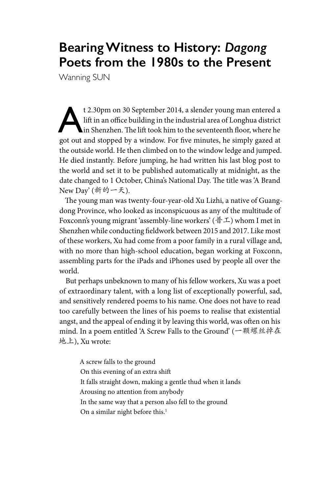## **Bearing Witness to History:** *Dagong* **Poets from the 1980s to the Present**

Wanning SUN

t 2.30pm on 30 September 2014, a slender young man entered a<br>lift in an office building in the industrial area of Longhua district<br>in Shenzhen. The lift took him to the seventeenth floor, where he<br>got out and storned by a lift in an office building in the industrial area of Longhua district in Shenzhen. The lift took him to the seventeenth floor, where he got out and stopped by a window. For five minutes, he simply gazed at the outside world. He then climbed on to the window ledge and jumped. He died instantly. Before jumping, he had written his last blog post to the world and set it to be published automatically at midnight, as the date changed to 1 October, China's National Day. The title was 'A Brand New Day' (新的一天).

The young man was twenty-four-year-old Xu Lizhi, a native of Guangdong Province, who looked as inconspicuous as any of the multitude of Foxconn's young migrant 'assembly-line workers' (普工) whom I met in Shenzhen while conducting fieldwork between 2015 and 2017. Like most of these workers, Xu had come from a poor family in a rural village and, with no more than high-school education, began working at Foxconn, assembling parts for the iPads and iPhones used by people all over the world.

But perhaps unbeknown to many of his fellow workers, Xu was a poet of extraordinary talent, with a long list of exceptionally powerful, sad, and sensitively rendered poems to his name. One does not have to read too carefully between the lines of his poems to realise that existential angst, and the appeal of ending it by leaving this world, was often on his mind. In a poem entitled 'A Screw Falls to the Ground' (一颗螺丝掉在 地上), Xu wrote:

A screw falls to the ground On this evening of an extra shift It falls straight down, making a gentle thud when it lands Arousing no attention from anybody In the same way that a person also fell to the ground On a similar night before this.<sup>1</sup>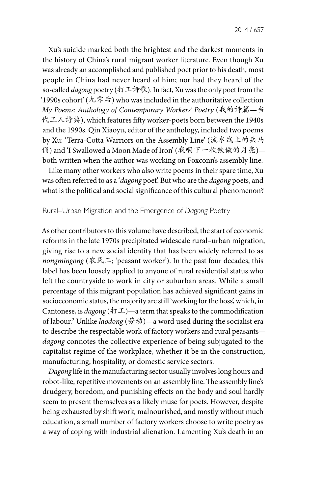2014 / 657

Xu's suicide marked both the brightest and the darkest moments in the history of China's rural migrant worker literature. Even though Xu was already an accomplished and published poet prior to his death, most people in China had never heard of him; nor had they heard of the so-called *dagong* poetry (打工诗歌). In fact, Xu was the only poet from the '1990s cohort' (九零后) who was included in the authoritative collection *My Poems: Anthology of Contemporary Workers' Poetry* (我的诗篇*—*当 代工人诗典), which features fifty worker-poets born between the 1940s and the 1990s. Qin Xiaoyu, editor of the anthology, included two poems by Xu: 'Terra-Cotta Warriors on the Assembly Line' (流水线上的兵马 俑) and 'I Swallowed a Moon Made of Iron' (我咽下一枚铁做的月亮) both written when the author was working on Foxconn's assembly line.

Like many other workers who also write poems in their spare time, Xu was often referred to as a '*dagong* poet'. But who are the *dagong* poets, and what is the political and social significance of this cultural phenomenon?

### Rural–Urban Migration and the Emergence of *Dagong* Poetry

As other contributors to this volume have described, the start of economic reforms in the late 1970s precipitated widescale rural–urban migration, giving rise to a new social identity that has been widely referred to as *nongmingong* (农民工; 'peasant worker'). In the past four decades, this label has been loosely applied to anyone of rural residential status who left the countryside to work in city or suburban areas. While a small percentage of this migrant population has achieved significant gains in socioeconomic status, the majority are still 'working for the boss', which, in Cantonese, is *dagong* ( $\text{tr}\,\mathcal{I}$ )—a term that speaks to the commodification of labour.2 Unlike *laodong* (劳动)—a word used during the socialist era to describe the respectable work of factory workers and rural peasants *dagong* connotes the collective experience of being subjugated to the capitalist regime of the workplace, whether it be in the construction, manufacturing, hospitality, or domestic service sectors.

*Dagong* life in the manufacturing sector usually involves long hours and robot-like, repetitive movements on an assembly line. The assembly line's drudgery, boredom, and punishing effects on the body and soul hardly seem to present themselves as a likely muse for poets. However, despite being exhausted by shift work, malnourished, and mostly without much education, a small number of factory workers choose to write poetry as a way of coping with industrial alienation. Lamenting Xu's death in an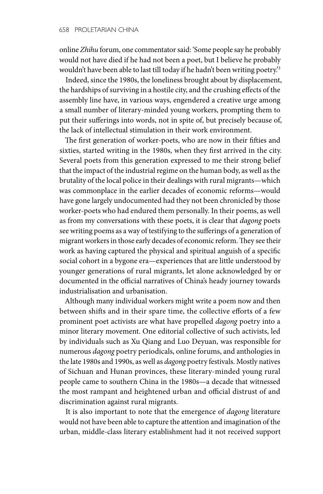online *Zhihu* forum, one commentator said: 'Some people say he probably would not have died if he had not been a poet, but I believe he probably wouldn't have been able to last till today if he hadn't been writing poetry.'3

Indeed, since the 1980s, the loneliness brought about by displacement, the hardships of surviving in a hostile city, and the crushing effects of the assembly line have, in various ways, engendered a creative urge among a small number of literary-minded young workers, prompting them to put their sufferings into words, not in spite of, but precisely because of, the lack of intellectual stimulation in their work environment.

The first generation of worker-poets, who are now in their fifties and sixties, started writing in the 1980s, when they first arrived in the city. Several poets from this generation expressed to me their strong belief that the impact of the industrial regime on the human body, as well as the brutality of the local police in their dealings with rural migrants—which was commonplace in the earlier decades of economic reforms—would have gone largely undocumented had they not been chronicled by those worker-poets who had endured them personally. In their poems, as well as from my conversations with these poets, it is clear that *dagong* poets see writing poems as a way of testifying to the sufferings of a generation of migrant workers in those early decades of economic reform. They see their work as having captured the physical and spiritual anguish of a specific social cohort in a bygone era—experiences that are little understood by younger generations of rural migrants, let alone acknowledged by or documented in the official narratives of China's heady journey towards industrialisation and urbanisation.

Although many individual workers might write a poem now and then between shifts and in their spare time, the collective efforts of a few prominent poet activists are what have propelled *dagong* poetry into a minor literary movement. One editorial collective of such activists, led by individuals such as Xu Qiang and Luo Deyuan, was responsible for numerous *dagong* poetry periodicals, online forums, and anthologies in the late 1980s and 1990s, as well as *dagong* poetry festivals. Mostly natives of Sichuan and Hunan provinces, these literary-minded young rural people came to southern China in the 1980s—a decade that witnessed the most rampant and heightened urban and official distrust of and discrimination against rural migrants.

It is also important to note that the emergence of *dagong* literature would not have been able to capture the attention and imagination of the urban, middle-class literary establishment had it not received support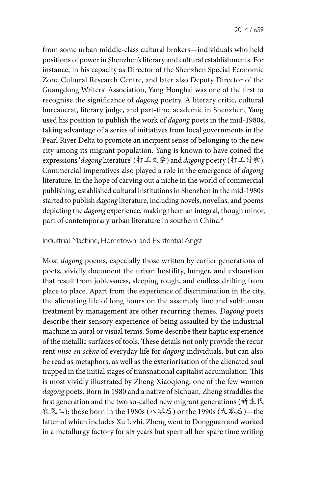from some urban middle-class cultural brokers—individuals who held positions of power in Shenzhen's literary and cultural establishments. For instance, in his capacity as Director of the Shenzhen Special Economic Zone Cultural Research Centre, and later also Deputy Director of the Guangdong Writers' Association, Yang Honghai was one of the first to recognise the significance of *dagong* poetry. A literary critic, cultural bureaucrat, literary judge, and part-time academic in Shenzhen, Yang used his position to publish the work of *dagong* poets in the mid-1980s, taking advantage of a series of initiatives from local governments in the Pearl River Delta to promote an incipient sense of belonging to the new city among its migrant population. Yang is known to have coined the expressions '*dagong* literature'(打工文学) and *dagong* poetry (打工诗歌). Commercial imperatives also played a role in the emergence of *dagong* literature. In the hope of carving out a niche in the world of commercial publishing, established cultural institutions in Shenzhen in the mid-1980s started to publish *dagong* literature, including novels, novellas, and poems depicting the *dagong* experience, making them an integral, though minor, part of contemporary urban literature in southern China.<sup>4</sup>

#### Industrial Machine, Hometown, and Existential Angst

Most *dagong* poems, especially those written by earlier generations of poets, vividly document the urban hostility, hunger, and exhaustion that result from joblessness, sleeping rough, and endless drifting from place to place. Apart from the experience of discrimination in the city, the alienating life of long hours on the assembly line and subhuman treatment by management are other recurring themes. *Dagong* poets describe their sensory experience of being assaulted by the industrial machine in aural or visual terms. Some describe their haptic experience of the metallic surfaces of tools. These details not only provide the recurrent *mise en sc*è*ne* of everyday life for *dagong* individuals, but can also be read as metaphors, as well as the exteriorisation of the alienated soul trapped in the initial stages of transnational capitalist accumulation. This is most vividly illustrated by Zheng Xiaoqiong, one of the few women *dagong* poets. Born in 1980 and a native of Sichuan, Zheng straddles the first generation and the two so-called new migrant generations (新生代 农民工): those born in the 1980s (八零后) or the 1990s (九零后)—the latter of which includes Xu Lizhi. Zheng went to Dongguan and worked in a metallurgy factory for six years but spent all her spare time writing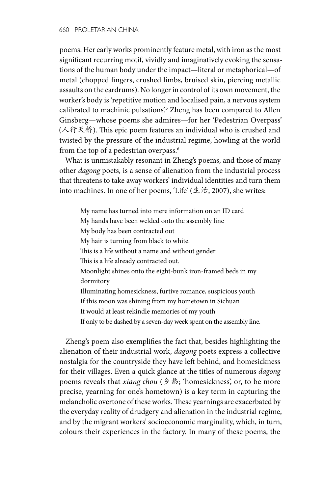poems. Her early works prominently feature metal, with iron as the most significant recurring motif, vividly and imaginatively evoking the sensations of the human body under the impact—literal or metaphorical—of metal (chopped fingers, crushed limbs, bruised skin, piercing metallic assaults on the eardrums). No longer in control of its own movement, the worker's body is 'repetitive motion and localised pain, a nervous system calibrated to machinic pulsations'.5 Zheng has been compared to Allen Ginsberg—whose poems she admires—for her 'Pedestrian Overpass' (人行天桥). This epic poem features an individual who is crushed and twisted by the pressure of the industrial regime, howling at the world from the top of a pedestrian overpass.6

What is unmistakably resonant in Zheng's poems, and those of many other *dagong* poets, is a sense of alienation from the industrial process that threatens to take away workers' individual identities and turn them into machines. In one of her poems, 'Life' ( $\pm \frac{1}{16}$ , 2007), she writes:

My name has turned into mere information on an ID card My hands have been welded onto the assembly line My body has been contracted out My hair is turning from black to white. This is a life without a name and without gender This is a life already contracted out. Moonlight shines onto the eight-bunk iron-framed beds in my dormitory Illuminating homesickness, furtive romance, suspicious youth If this moon was shining from my hometown in Sichuan It would at least rekindle memories of my youth If only to be dashed by a seven-day week spent on the assembly line.

Zheng's poem also exemplifies the fact that, besides highlighting the alienation of their industrial work, *dagong* poets express a collective nostalgia for the countryside they have left behind, and homesickness for their villages. Even a quick glance at the titles of numerous *dagong* poems reveals that *xiang chou* (乡愁; 'homesickness', or, to be more precise, yearning for one's hometown) is a key term in capturing the melancholic overtone of these works. These yearnings are exacerbated by the everyday reality of drudgery and alienation in the industrial regime, and by the migrant workers' socioeconomic marginality, which, in turn, colours their experiences in the factory. In many of these poems, the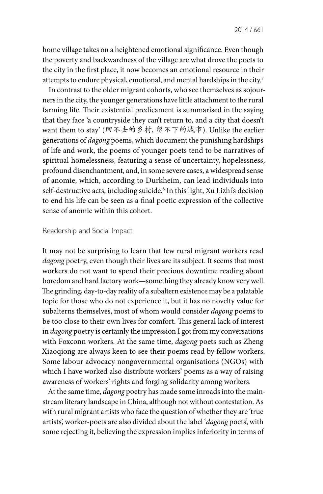2014 / 661

home village takes on a heightened emotional significance. Even though the poverty and backwardness of the village are what drove the poets to the city in the first place, it now becomes an emotional resource in their attempts to endure physical, emotional, and mental hardships in the city.7

In contrast to the older migrant cohorts, who see themselves as sojourners in the city, the younger generations have little attachment to the rural farming life. Their existential predicament is summarised in the saying that they face 'a countryside they can't return to, and a city that doesn't want them to stay' (回不去的乡村, 留不下的城市). Unlike the earlier generations of *dagong* poems, which document the punishing hardships of life and work, the poems of younger poets tend to be narratives of spiritual homelessness, featuring a sense of uncertainty, hopelessness, profound disenchantment, and, in some severe cases, a widespread sense of anomie, which, according to Durkheim, can lead individuals into self-destructive acts, including suicide.8 In this light, Xu Lizhi's decision to end his life can be seen as a final poetic expression of the collective sense of anomie within this cohort.

### Readership and Social Impact

It may not be surprising to learn that few rural migrant workers read *dagong* poetry, even though their lives are its subject. It seems that most workers do not want to spend their precious downtime reading about boredom and hard factory work—something they already know very well. The grinding, day-to-day reality of a subaltern existence may be a palatable topic for those who do not experience it, but it has no novelty value for subalterns themselves, most of whom would consider *dagong* poems to be too close to their own lives for comfort. This general lack of interest in *dagong* poetry is certainly the impression I got from my conversations with Foxconn workers. At the same time, *dagong* poets such as Zheng Xiaoqiong are always keen to see their poems read by fellow workers. Some labour advocacy nongovernmental organisations (NGOs) with which I have worked also distribute workers' poems as a way of raising awareness of workers' rights and forging solidarity among workers.

At the same time, *dagong* poetry has made some inroads into the mainstream literary landscape in China, although not without contestation. As with rural migrant artists who face the question of whether they are 'true artists', worker-poets are also divided about the label '*dagong* poets', with some rejecting it, believing the expression implies inferiority in terms of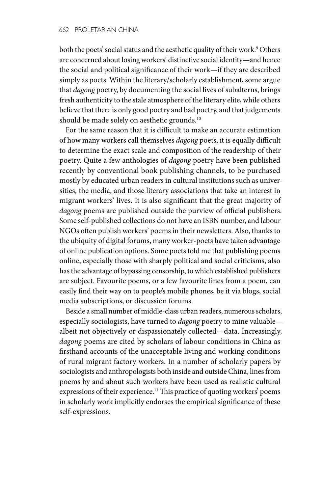both the poets' social status and the aesthetic quality of their work.9 Others are concerned about losing workers' distinctive social identity—and hence the social and political significance of their work—if they are described simply as poets. Within the literary/scholarly establishment, some argue that *dagong* poetry, by documenting the social lives of subalterns, brings fresh authenticity to the stale atmosphere of the literary elite, while others believe that there is only good poetry and bad poetry, and that judgements should be made solely on aesthetic grounds.<sup>10</sup>

For the same reason that it is difficult to make an accurate estimation of how many workers call themselves *dagong* poets, it is equally difficult to determine the exact scale and composition of the readership of their poetry. Quite a few anthologies of *dagong* poetry have been published recently by conventional book publishing channels, to be purchased mostly by educated urban readers in cultural institutions such as universities, the media, and those literary associations that take an interest in migrant workers' lives. It is also significant that the great majority of *dagong* poems are published outside the purview of official publishers. Some self-published collections do not have an ISBN number, and labour NGOs often publish workers' poems in their newsletters. Also, thanks to the ubiquity of digital forums, many worker-poets have taken advantage of online publication options. Some poets told me that publishing poems online, especially those with sharply political and social criticisms, also has the advantage of bypassing censorship, to which established publishers are subject. Favourite poems, or a few favourite lines from a poem, can easily find their way on to people's mobile phones, be it via blogs, social media subscriptions, or discussion forums.

Beside a small number of middle-class urban readers, numerous scholars, especially sociologists, have turned to *dagong* poetry to mine valuable albeit not objectively or dispassionately collected—data. Increasingly, *dagong* poems are cited by scholars of labour conditions in China as firsthand accounts of the unacceptable living and working conditions of rural migrant factory workers. In a number of scholarly papers by sociologists and anthropologists both inside and outside China, lines from poems by and about such workers have been used as realistic cultural expressions of their experience.<sup>11</sup> This practice of quoting workers' poems in scholarly work implicitly endorses the empirical significance of these self-expressions.